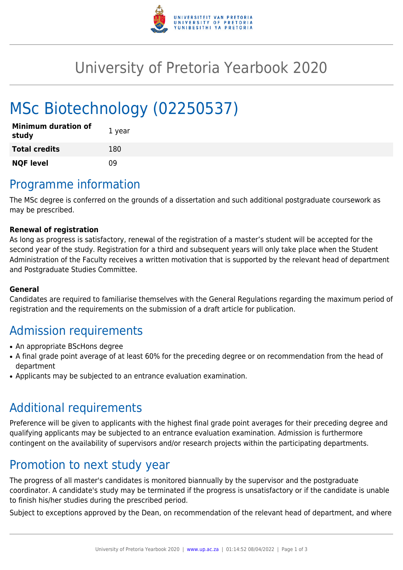

## University of Pretoria Yearbook 2020

# MSc Biotechnology (02250537)

| <b>Minimum duration of</b><br>study | 1 year |
|-------------------------------------|--------|
| <b>Total credits</b>                | 180    |
| <b>NQF level</b>                    | n۹     |

### Programme information

The MSc degree is conferred on the grounds of a dissertation and such additional postgraduate coursework as may be prescribed.

#### **Renewal of registration**

As long as progress is satisfactory, renewal of the registration of a master's student will be accepted for the second year of the study. Registration for a third and subsequent years will only take place when the Student Administration of the Faculty receives a written motivation that is supported by the relevant head of department and Postgraduate Studies Committee.

#### **General**

Candidates are required to familiarise themselves with the General Regulations regarding the maximum period of registration and the requirements on the submission of a draft article for publication.

### Admission requirements

- An appropriate BScHons degree
- A final grade point average of at least 60% for the preceding degree or on recommendation from the head of department
- Applicants may be subjected to an entrance evaluation examination.

#### Additional requirements

Preference will be given to applicants with the highest final grade point averages for their preceding degree and qualifying applicants may be subjected to an entrance evaluation examination. Admission is furthermore contingent on the availability of supervisors and/or research projects within the participating departments.

#### Promotion to next study year

The progress of all master's candidates is monitored biannually by the supervisor and the postgraduate coordinator. A candidate's study may be terminated if the progress is unsatisfactory or if the candidate is unable to finish his/her studies during the prescribed period.

Subject to exceptions approved by the Dean, on recommendation of the relevant head of department, and where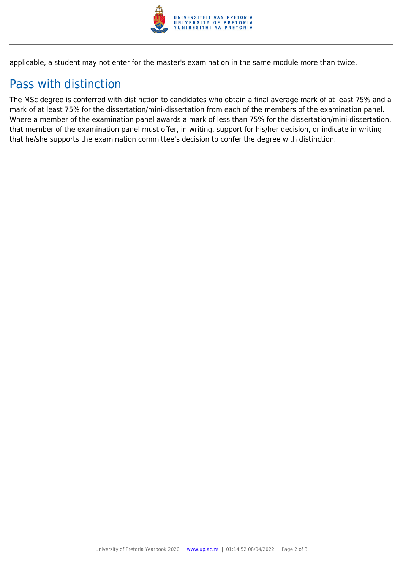

applicable, a student may not enter for the master's examination in the same module more than twice.

### Pass with distinction

The MSc degree is conferred with distinction to candidates who obtain a final average mark of at least 75% and a mark of at least 75% for the dissertation/mini-dissertation from each of the members of the examination panel. Where a member of the examination panel awards a mark of less than 75% for the dissertation/mini-dissertation, that member of the examination panel must offer, in writing, support for his/her decision, or indicate in writing that he/she supports the examination committee's decision to confer the degree with distinction.